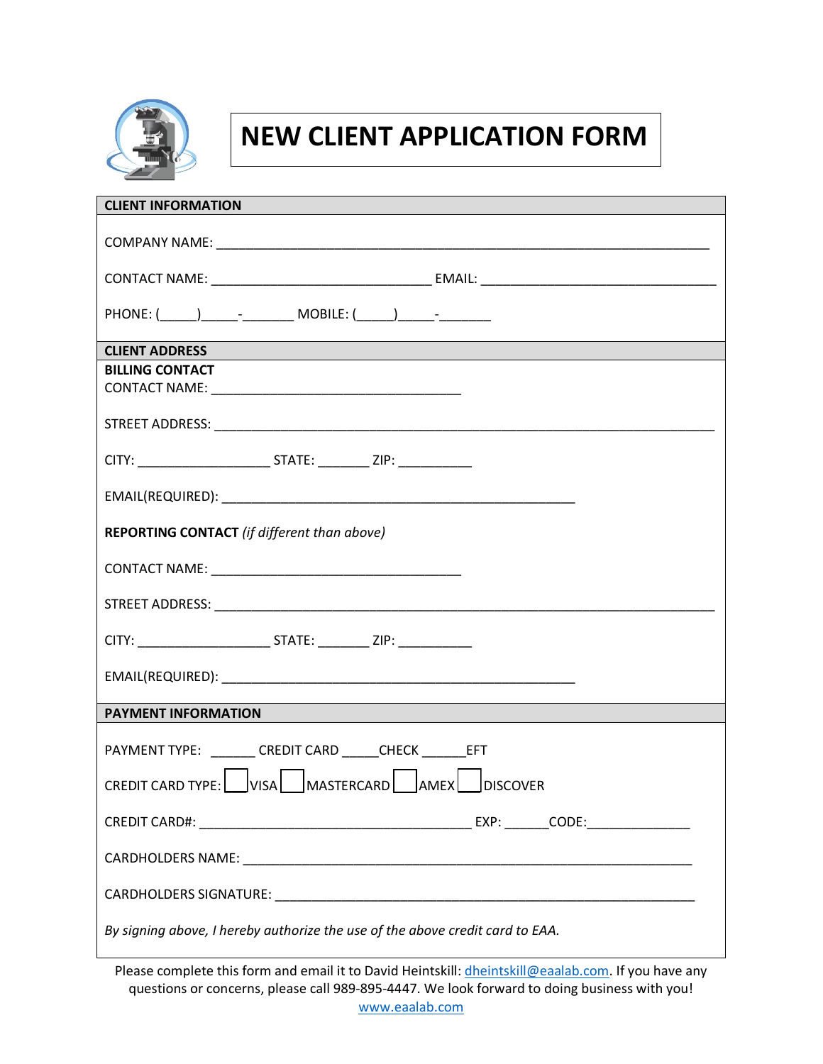

## **NEW CLIENT APPLICATION FORM**

| <b>CLIENT INFORMATION</b>                                                                                                                     |  |  |  |  |
|-----------------------------------------------------------------------------------------------------------------------------------------------|--|--|--|--|
|                                                                                                                                               |  |  |  |  |
|                                                                                                                                               |  |  |  |  |
|                                                                                                                                               |  |  |  |  |
| <b>CLIENT ADDRESS</b><br><b>STATE OF STATE OF STATE OF STATE OF STATE OF STATE OF STATE OF STATE OF STATE OF STATE OF STATE OF STATE OF S</b> |  |  |  |  |
| <b>BILLING CONTACT</b>                                                                                                                        |  |  |  |  |
|                                                                                                                                               |  |  |  |  |
|                                                                                                                                               |  |  |  |  |
|                                                                                                                                               |  |  |  |  |
|                                                                                                                                               |  |  |  |  |
| <b>REPORTING CONTACT</b> (if different than above)                                                                                            |  |  |  |  |
|                                                                                                                                               |  |  |  |  |
|                                                                                                                                               |  |  |  |  |
| CITY: ___________________________________STATE: ________________________________                                                              |  |  |  |  |
|                                                                                                                                               |  |  |  |  |
| <b>PAYMENT INFORMATION</b>                                                                                                                    |  |  |  |  |
| PAYMENT TYPE: CREDIT CARD CHECK EFT                                                                                                           |  |  |  |  |
| CREDIT CARD TYPE: VISA MASTERCARD AMEX DISCOVER                                                                                               |  |  |  |  |
|                                                                                                                                               |  |  |  |  |
|                                                                                                                                               |  |  |  |  |
|                                                                                                                                               |  |  |  |  |
| By signing above, I hereby authorize the use of the above credit card to EAA.                                                                 |  |  |  |  |

Please complete this form and email it to David Heintskill: *dheintskill@eaalab.com*. If you have any questions or concerns, please call 989-895-4447. We look forward to doing business with you! [www.eaalab.com](http://www.eaalab.com/)